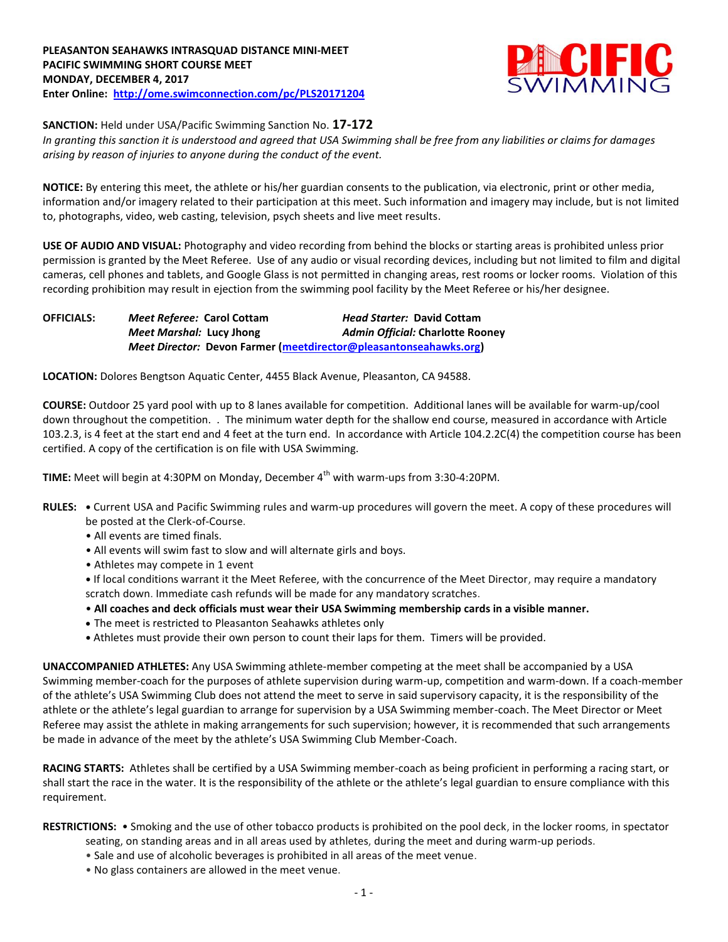

**SANCTION:** Held under USA/Pacific Swimming Sanction No. **17-172**

*In granting this sanction it is understood and agreed that USA Swimming shall be free from any liabilities or claims for damages arising by reason of injuries to anyone during the conduct of the event.*

**NOTICE:** By entering this meet, the athlete or his/her guardian consents to the publication, via electronic, print or other media, information and/or imagery related to their participation at this meet. Such information and imagery may include, but is not limited to, photographs, video, web casting, television, psych sheets and live meet results.

**USE OF AUDIO AND VISUAL:** Photography and video recording from behind the blocks or starting areas is prohibited unless prior permission is granted by the Meet Referee. Use of any audio or visual recording devices, including but not limited to film and digital cameras, cell phones and tablets, and Google Glass is not permitted in changing areas, rest rooms or locker rooms. Violation of this recording prohibition may result in ejection from the swimming pool facility by the Meet Referee or his/her designee.

**OFFICIALS:** *Meet Referee:* **Carol Cottam** *Head Starter:* **David Cottam** *Meet Marshal:* **Lucy Jhong** *Admin Official:* **Charlotte Rooney** *Meet Director:* **Devon Farmer [\(meetdirector@pleasantonseahawks.org\)](mailto:meetdirector@pleasantonseahawks.org)**

**LOCATION:** Dolores Bengtson Aquatic Center, 4455 Black Avenue, Pleasanton, CA 94588.

**COURSE:** Outdoor 25 yard pool with up to 8 lanes available for competition. Additional lanes will be available for warm-up/cool down throughout the competition. . The minimum water depth for the shallow end course, measured in accordance with Article 103.2.3, is 4 feet at the start end and 4 feet at the turn end. In accordance with Article 104.2.2C(4) the competition course has been certified. A copy of the certification is on file with USA Swimming.

**TIME:** Meet will begin at 4:30PM on Monday, December 4<sup>th</sup> with warm-ups from 3:30-4:20PM.

- **RULES: •** Current USA and Pacific Swimming rules and warm-up procedures will govern the meet. A copy of these procedures will be posted at the Clerk-of-Course.
	- All events are timed finals.
	- All events will swim fast to slow and will alternate girls and boys.
	- Athletes may compete in 1 event

**•** If local conditions warrant it the Meet Referee, with the concurrence of the Meet Director, may require a mandatory scratch down. Immediate cash refunds will be made for any mandatory scratches.

- **All coaches and deck officials must wear their USA Swimming membership cards in a visible manner.**
- The meet is restricted to Pleasanton Seahawks athletes only
- **•** Athletes must provide their own person to count their laps for them. Timers will be provided.

**UNACCOMPANIED ATHLETES:** Any USA Swimming athlete-member competing at the meet shall be accompanied by a USA Swimming member-coach for the purposes of athlete supervision during warm-up, competition and warm-down. If a coach-member of the athlete's USA Swimming Club does not attend the meet to serve in said supervisory capacity, it is the responsibility of the athlete or the athlete's legal guardian to arrange for supervision by a USA Swimming member-coach. The Meet Director or Meet Referee may assist the athlete in making arrangements for such supervision; however, it is recommended that such arrangements be made in advance of the meet by the athlete's USA Swimming Club Member-Coach.

**RACING STARTS:** Athletes shall be certified by a USA Swimming member-coach as being proficient in performing a racing start, or shall start the race in the water. It is the responsibility of the athlete or the athlete's legal guardian to ensure compliance with this requirement.

**RESTRICTIONS:** • Smoking and the use of other tobacco products is prohibited on the pool deck, in the locker rooms, in spectator

- seating, on standing areas and in all areas used by athletes, during the meet and during warm-up periods.
- Sale and use of alcoholic beverages is prohibited in all areas of the meet venue.
- No glass containers are allowed in the meet venue.